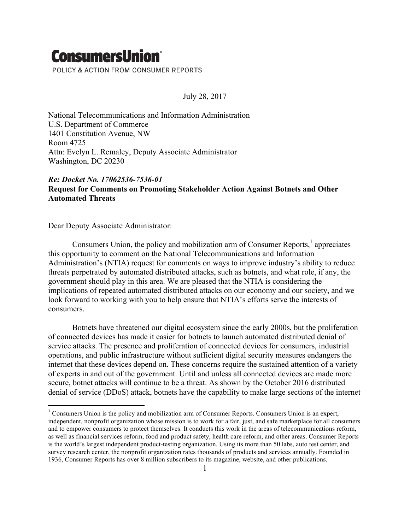## **ConsumersUnion**®

POLICY & ACTION FROM CONSUMER REPORTS

July 28, 2017

National Telecommunications and Information Administration U.S. Department of Commerce 1401 Constitution Avenue, NW Room 4725 Attn: Evelyn L. Remaley, Deputy Associate Administrator Washington, DC 20230

## *Re: Docket No. 17062536-7536-01* **Request for Comments on Promoting Stakeholder Action Against Botnets and Other Automated Threats**

Dear Deputy Associate Administrator:

Consumers Union, the policy and mobilization arm of Consumer Reports, $<sup>1</sup>$  appreciates</sup> this opportunity to comment on the National Telecommunications and Information Administration's (NTIA) request for comments on ways to improve industry's ability to reduce threats perpetrated by automated distributed attacks, such as botnets, and what role, if any, the government should play in this area. We are pleased that the NTIA is considering the implications of repeated automated distributed attacks on our economy and our society, and we look forward to working with you to help ensure that NTIA's efforts serve the interests of consumers.

Botnets have threatened our digital ecosystem since the early 2000s, but the proliferation of connected devices has made it easier for botnets to launch automated distributed denial of service attacks. The presence and proliferation of connected devices for consumers, industrial operations, and public infrastructure without sufficient digital security measures endangers the internet that these devices depend on. These concerns require the sustained attention of a variety of experts in and out of the government. Until and unless all connected devices are made more secure, botnet attacks will continue to be a threat. As shown by the October 2016 distributed denial of service (DDoS) attack, botnets have the capability to make large sections of the internet

<sup>&</sup>lt;sup>1</sup> Consumers Union is the policy and mobilization arm of Consumer Reports. Consumers Union is an expert, independent, nonprofit organization whose mission is to work for a fair, just, and safe marketplace for all consumers and to empower consumers to protect themselves. It conducts this work in the areas of telecommunications reform, as well as financial services reform, food and product safety, health care reform, and other areas. Consumer Reports is the world's largest independent product-testing organization. Using its more than 50 labs, auto test center, and survey research center, the nonprofit organization rates thousands of products and services annually. Founded in 1936, Consumer Reports has over 8 million subscribers to its magazine, website, and other publications.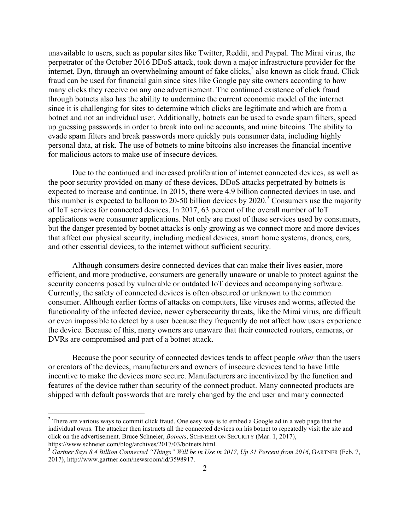unavailable to users, such as popular sites like Twitter, Reddit, and Paypal. The Mirai virus, the perpetrator of the October 2016 DDoS attack, took down a major infrastructure provider for the internet, Dyn, through an overwhelming amount of fake clicks, $\frac{3}{2}$  also known as click fraud. Click fraud can be used for financial gain since sites like Google pay site owners according to how many clicks they receive on any one advertisement. The continued existence of click fraud through botnets also has the ability to undermine the current economic model of the internet since it is challenging for sites to determine which clicks are legitimate and which are from a botnet and not an individual user. Additionally, botnets can be used to evade spam filters, speed up guessing passwords in order to break into online accounts, and mine bitcoins. The ability to evade spam filters and break passwords more quickly puts consumer data, including highly personal data, at risk. The use of botnets to mine bitcoins also increases the financial incentive for malicious actors to make use of insecure devices.

Due to the continued and increased proliferation of internet connected devices, as well as the poor security provided on many of these devices, DDoS attacks perpetrated by botnets is expected to increase and continue. In 2015, there were 4.9 billion connected devices in use, and this number is expected to balloon to 20-50 billion devices by  $2020$ .<sup>3</sup> Consumers use the majority of IoT services for connected devices. In 2017, 63 percent of the overall number of IoT applications were consumer applications. Not only are most of these services used by consumers, but the danger presented by botnet attacks is only growing as we connect more and more devices that affect our physical security, including medical devices, smart home systems, drones, cars, and other essential devices, to the internet without sufficient security.

Although consumers desire connected devices that can make their lives easier, more efficient, and more productive, consumers are generally unaware or unable to protect against the security concerns posed by vulnerable or outdated IoT devices and accompanying software. Currently, the safety of connected devices is often obscured or unknown to the common consumer. Although earlier forms of attacks on computers, like viruses and worms, affected the functionality of the infected device, newer cybersecurity threats, like the Mirai virus, are difficult or even impossible to detect by a user because they frequently do not affect how users experience the device. Because of this, many owners are unaware that their connected routers, cameras, or DVRs are compromised and part of a botnet attack.

Because the poor security of connected devices tends to affect people *other* than the users or creators of the devices, manufacturers and owners of insecure devices tend to have little incentive to make the devices more secure. Manufacturers are incentivized by the function and features of the device rather than security of the connect product. Many connected products are shipped with default passwords that are rarely changed by the end user and many connected

 

<sup>&</sup>lt;sup>2</sup> There are various ways to commit click fraud. One easy way is to embed a Google ad in a web page that the individual owns. The attacker then instructs all the connected devices on his botnet to repeatedly visit the site and click on the advertisement. Bruce Schneier, *Botnets*, SCHNEIER ON SECURITY (Mar. 1, 2017), https://www.schneier.com/blog/archives/2017/03/botnets.html.

<sup>3</sup> *Gartner Says 8.4 Billion Connected "Things" Will be in Use in 2017, Up 31 Percent from 2016*, GARTNER (Feb. 7, 2017), http://www.gartner.com/newsroom/id/3598917.